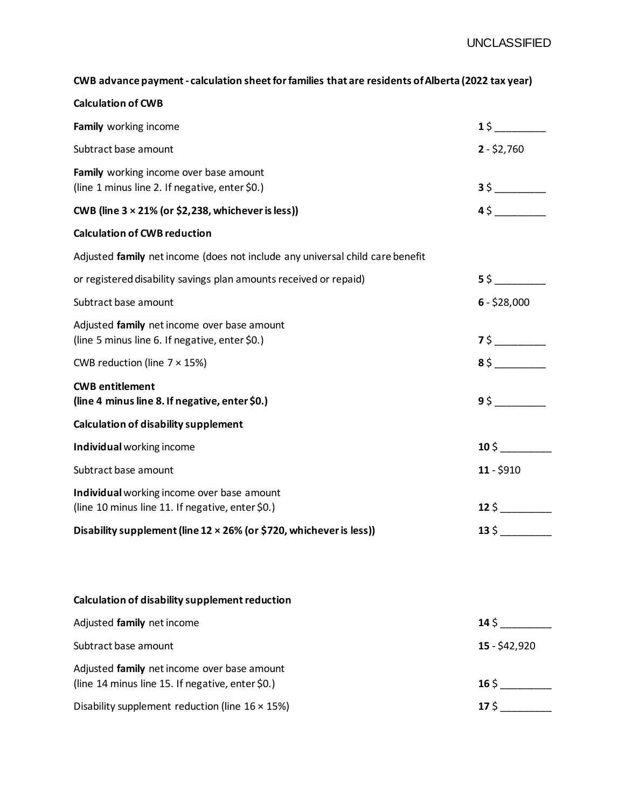## **CWB advance payment - calculation sheet for families that are residents of Alberta (2022 tax year)**

| <b>Calculation of CWB</b>                                                                       |                               |
|-------------------------------------------------------------------------------------------------|-------------------------------|
| Family working income                                                                           | $1\,$ \$                      |
| Subtract base amount                                                                            | $2 - $2,760$                  |
| Family working income over base amount<br>(line 1 minus line 2. If negative, enter \$0.)        |                               |
| CWB (line $3 \times 21\%$ (or \$2,238, whichever is less))                                      | 45                            |
| <b>Calculation of CWB reduction</b>                                                             |                               |
| Adjusted family net income (does not include any universal child care benefit                   |                               |
| or registered disability savings plan amounts received or repaid)                               | $5\,$ \$                      |
| Subtract base amount                                                                            | $6 - $28,000$                 |
| Adjusted family net income over base amount<br>(line 5 minus line 6. If negative, enter \$0.)   | 75                            |
| CWB reduction (line $7 \times 15\%$ )                                                           |                               |
| <b>CWB</b> entitlement<br>(line 4 minus line 8. If negative, enter \$0.)                        | 95                            |
| <b>Calculation of disability supplement</b>                                                     |                               |
| Individual working income                                                                       | $10\frac{1}{2}$ $\frac{1}{2}$ |
| Subtract base amount                                                                            | $11 - $910$                   |
| Individual working income over base amount<br>(line 10 minus line 11. If negative, enter \$0.)  |                               |
| Disability supplement (line 12 × 26% (or \$720, whichever is less))                             | $13\,$ \$                     |
|                                                                                                 |                               |
| Calculation of disability supplement reduction                                                  |                               |
| Adjusted family net income                                                                      | $14\,\mathrm{\dot{\,}}$       |
| Subtract base amount                                                                            | $15 - $42,920$                |
| Adjusted family net income over base amount<br>(line 14 minus line 15. If negative, enter \$0.) | $16\frac{6}{3}$               |
| Disability supplement reduction (line $16 \times 15\%)$                                         | 175                           |
|                                                                                                 |                               |